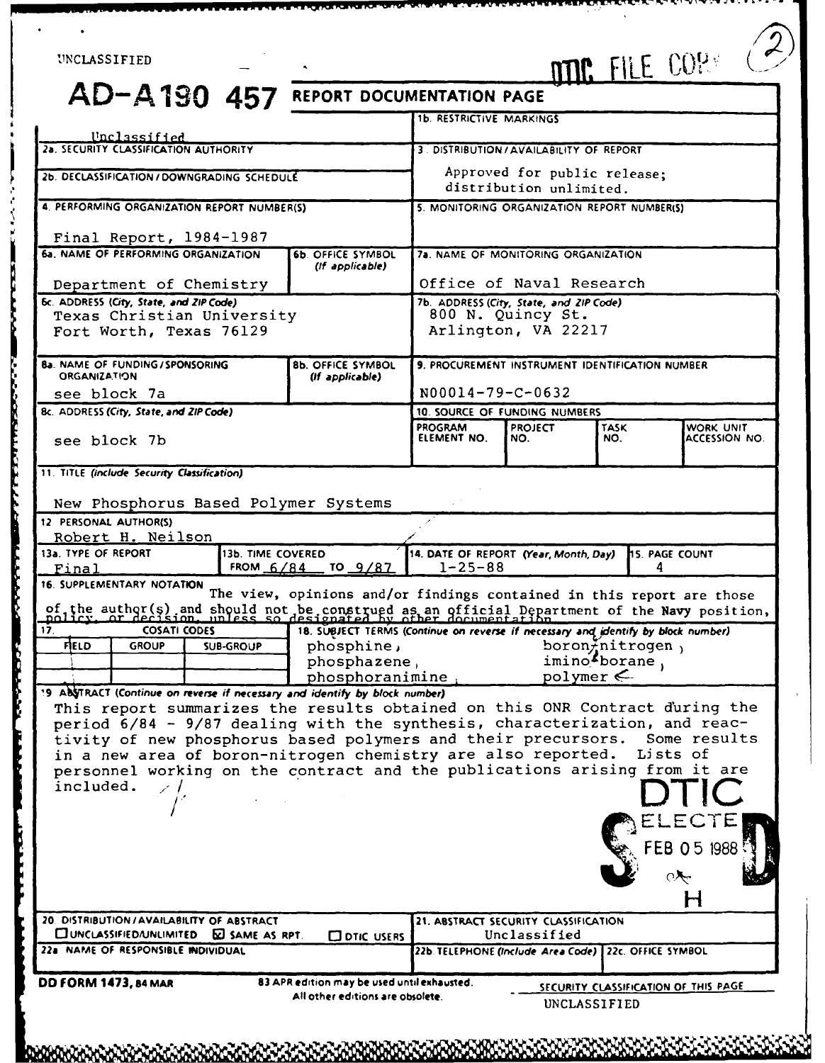# UNCLASSIFIED

**AD-A 190 457 REPORT DOCUMENTATION PAGE lb.** RESTRICTIVE MARKINGS

**!' B1 I f LITTLE IN A PART OF ALL ALL ALL AND A PARTICULAR DESCRIPTION IN A PARTICULAR DES AN AN AN AN AN AN** A

|                                                                                                                                                                  |                                                                                   | <b>1b. RESTRICTIVE MARKINGS</b>                                      |                                                       |                    |                                      |
|------------------------------------------------------------------------------------------------------------------------------------------------------------------|-----------------------------------------------------------------------------------|----------------------------------------------------------------------|-------------------------------------------------------|--------------------|--------------------------------------|
| Unclassified<br>2a. SECURITY CLASSIFICATION AUTHORITY                                                                                                            |                                                                                   |                                                                      | 3. DISTRIBUTION / AVAILABILITY OF REPORT              |                    |                                      |
|                                                                                                                                                                  |                                                                                   |                                                                      |                                                       |                    |                                      |
| 2b. DECLASSIFICATION/DOWNGRADING SCHEDULE                                                                                                                        |                                                                                   | Approved for public release;<br>distribution unlimited.              |                                                       |                    |                                      |
| 4. PERFORMING ORGANIZATION REPORT NUMBER(S)                                                                                                                      |                                                                                   | 5. MONITORING ORGANIZATION REPORT NUMBER(S)                          |                                                       |                    |                                      |
| Final Report, 1984-1987                                                                                                                                          |                                                                                   |                                                                      |                                                       |                    |                                      |
| 6a. NAME OF PERFORMING ORGANIZATION                                                                                                                              | <b>6b. OFFICE SYMBOL</b>                                                          |                                                                      | 7a. NAME OF MONITORING ORGANIZATION                   |                    |                                      |
|                                                                                                                                                                  | (If applicable)                                                                   |                                                                      |                                                       |                    |                                      |
| Department of Chemistry<br>6c. ADDRESS (City, State, and ZIP Code)                                                                                               |                                                                                   | Office of Naval Research<br>7b. ADDRESS (City, State, and ZIP Code). |                                                       |                    |                                      |
| Texas Christian University                                                                                                                                       |                                                                                   | 800 N. Quincy St.                                                    |                                                       |                    |                                      |
| Fort Worth, Texas 76129                                                                                                                                          |                                                                                   |                                                                      | Arlington, VA 22217                                   |                    |                                      |
|                                                                                                                                                                  |                                                                                   |                                                                      |                                                       |                    |                                      |
| <b>8a. NAME OF FUNDING/SPONSORING</b><br><b>ORGANIZATION</b>                                                                                                     | <b>8b. OFFICE SYMBOL</b><br>(If applicable)                                       |                                                                      | 9. PROCUREMENT INSTRUMENT IDENTIFICATION NUMBER       |                    |                                      |
| see block 7a                                                                                                                                                     |                                                                                   | $N00014 - 79 - C - 0632$                                             |                                                       |                    |                                      |
| Bc. ADDRESS (City, State, and ZIP Code)                                                                                                                          | 10. SOURCE OF FUNDING NUMBERS                                                     |                                                                      |                                                       |                    |                                      |
| see block 7b                                                                                                                                                     |                                                                                   | PROGRAM<br>ELEMENT NO.                                               | <b>PROJECT</b><br>NO.                                 | <b>TASK</b><br>NO. | WORK UNIT<br><b>ACCESSION NO.</b>    |
|                                                                                                                                                                  |                                                                                   |                                                                      |                                                       |                    |                                      |
| 11. TITLE (include Security Classification)                                                                                                                      |                                                                                   |                                                                      |                                                       |                    |                                      |
|                                                                                                                                                                  |                                                                                   |                                                                      |                                                       |                    |                                      |
| New Phosphorus Based Polymer Systems                                                                                                                             |                                                                                   |                                                                      |                                                       |                    |                                      |
| 12 PERSONAL AUTHOR(S)<br>Robert H. Neilson                                                                                                                       |                                                                                   |                                                                      |                                                       |                    |                                      |
| 13a, TYPE OF REPORT<br>13b. TIME COVERED                                                                                                                         |                                                                                   | 14. DATE OF REPORT (Year, Month, Day)                                |                                                       |                    | <b>HS. PAGE COUNT</b>                |
| Final                                                                                                                                                            | FROM $6/84$ TO 9/87                                                               | $1 - 25 - 88$                                                        |                                                       | 4                  |                                      |
| 16. SUPPLEMENTARY NOTATION                                                                                                                                       | The view, opinions and/or findings contained in this report are those             |                                                                      |                                                       |                    |                                      |
| of the author(s) and should not be construed as an official Department of the Navy position,<br>policy, or decision, unless so designated by other documentation |                                                                                   |                                                                      |                                                       |                    |                                      |
| <b>COSATI CODES</b><br>17 <sub>1</sub>                                                                                                                           | 18. SUBJECT TERMS (Continue on reverse if necessary and identify by block number) |                                                                      |                                                       |                    |                                      |
| <b>FIELD</b><br><b>GROUP</b><br>phosphine,<br><b>SUB-GROUP</b>                                                                                                   |                                                                                   | $boron\frac{1}{2}nitrogen,$<br>imino <sup>f</sup> borane,            |                                                       |                    |                                      |
|                                                                                                                                                                  | phosphazene,<br>phosphoranimine,                                                  |                                                                      | polymer $\leftarrow$                                  |                    |                                      |
| 19 AbyTRACT (Continue on reverse if necessary and identify by block number)                                                                                      |                                                                                   |                                                                      |                                                       |                    |                                      |
| This report summarizes the results obtained on this ONR Contract during the                                                                                      |                                                                                   |                                                                      |                                                       |                    |                                      |
| period 6/84 - 9/87 dealing with the synthesis, characterization, and reac-                                                                                       |                                                                                   |                                                                      |                                                       |                    | Some results                         |
| tivity of new phosphorus based polymers and their precursors.                                                                                                    |                                                                                   |                                                                      |                                                       |                    |                                      |
|                                                                                                                                                                  |                                                                                   |                                                                      |                                                       |                    |                                      |
| in a new area of boron-nitrogen chemistry are also reported.                                                                                                     |                                                                                   |                                                                      |                                                       |                    | Lists of                             |
| personnel working on the contract and the publications arising from it are<br>included.                                                                          |                                                                                   |                                                                      |                                                       |                    |                                      |
|                                                                                                                                                                  |                                                                                   |                                                                      |                                                       |                    |                                      |
|                                                                                                                                                                  |                                                                                   |                                                                      |                                                       |                    |                                      |
|                                                                                                                                                                  |                                                                                   |                                                                      |                                                       |                    | EB 05 1988 <sup>-</sup>              |
|                                                                                                                                                                  |                                                                                   |                                                                      |                                                       |                    |                                      |
|                                                                                                                                                                  |                                                                                   |                                                                      |                                                       |                    |                                      |
|                                                                                                                                                                  |                                                                                   |                                                                      |                                                       |                    |                                      |
|                                                                                                                                                                  |                                                                                   |                                                                      | 21. ABSTRACT SECURITY CLASSIFICATION                  |                    |                                      |
| CUNCLASSIFIED/UNLIMITED ED SAME AS RPT.                                                                                                                          | <b>CO DTIC USERS</b>                                                              |                                                                      | Unclassified                                          |                    |                                      |
|                                                                                                                                                                  |                                                                                   |                                                                      | 22b. TELEPHONE (Include Area Code) 22c. OFFICE SYMBOL |                    |                                      |
| 20. DISTRIBUTION / AVAILABILITY OF ABSTRACT<br>22a NAME OF RESPONSIBLE INDIVIDUAL<br>DD FORM 1473, 84 MAR                                                        | 83 APR edition may be used until exhausted.                                       |                                                                      |                                                       |                    |                                      |
|                                                                                                                                                                  | All other editions are obsolete.                                                  |                                                                      | UNCLASSIFIED                                          |                    | SECURITY CLASSIFICATION OF THIS PAGE |
|                                                                                                                                                                  |                                                                                   |                                                                      |                                                       |                    |                                      |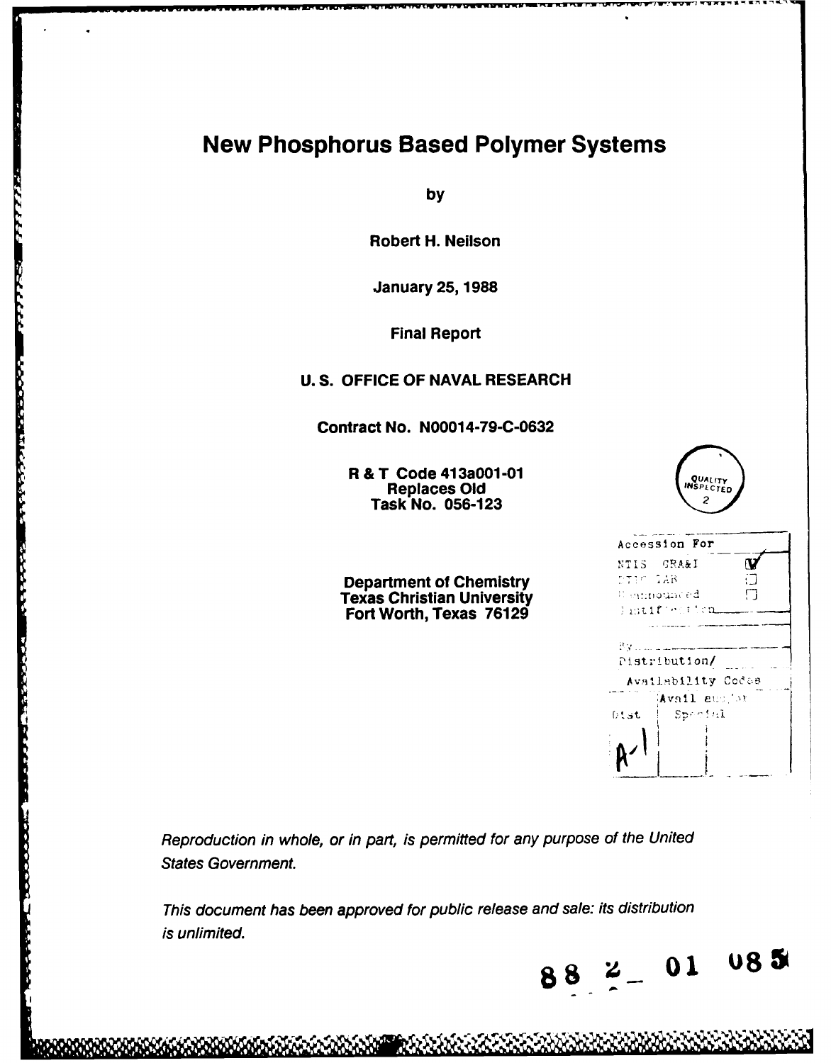# **New Phosphorus Based Polymer Systems**

**by**

Robert H. Neilson

January **25, 1988**

Final Report

# **U. S. OFFICE** OF **NAVAL** RESEARCH

Contract No. **N0001 4-79-C-0632**

R **&** T Code 413a001 Replaces **Old**  Task No. **056-123**

**Company of the Second Second** 

Department of Chemistry Texas Christian University f Fort Worth, Texas **76129**

| -01                         | QUALITY<br>INSPECTED<br>2                                                    |  |  |  |  |
|-----------------------------|------------------------------------------------------------------------------|--|--|--|--|
| <b>stry</b><br>rsity<br>129 | Accession For<br>NTIS GRA&I<br>DIEC IAB<br>⊞ inmounced.<br>П<br>Thitle witch |  |  |  |  |
|                             | Pistribution/<br>Availability Codes                                          |  |  |  |  |
|                             | Avail aux or<br>Special<br>0tst.                                             |  |  |  |  |

Reproduction in whole, or in part, is permitted for any purpose of the United States Government

This document has been approved for public release and sale: its distribution is unlimited.

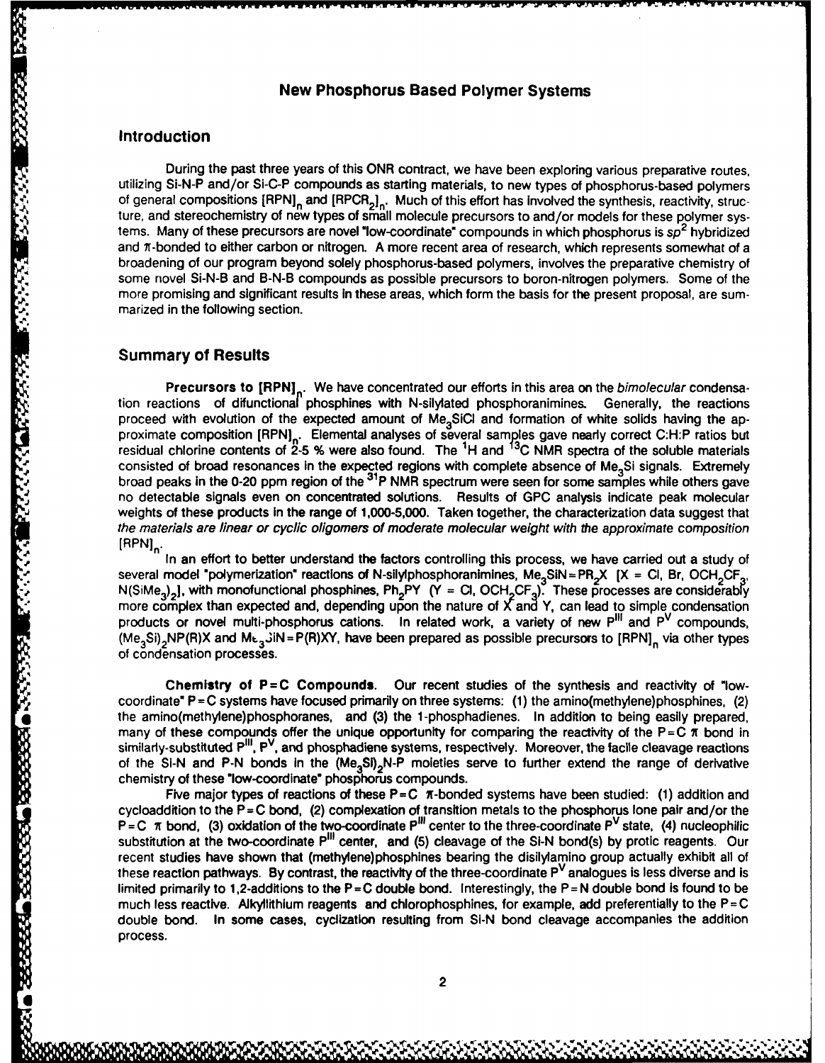## **New Phosphorus Based Polymer Systems**

### **Introduction**

During the past three years of this ONR contract, we have been exploring various preparative routes, utilizing Si-N-P and/or Si-C-P compounds as starting materials, to new types of phosphorus-based polymers of general compositions  $[RPN]_n$  and  $[RPCR_2]_n$ . Much of this effort has involved the synthesis, reactivity, structure, and stereochemistry of new types of small molecule precursors to and/or models for these polymer systems. Many of these precursors are novel "low-coordinate" compounds in which phosphorus is sp<sup>2</sup> hybridized and 7r-bonded to either carbon or nitrogen. **A** more recent area of research, which represents somewhat of a broadening of our program beyond solely phosphorus-based polymers, involves the preparative chemistry of some novel Si-N-B and B-N-B compounds as possible precursors to boron-nitrogen polymers. Some of the more promising and significant results in these areas, which form the basis for the present proposal, are summarized in the following section.

#### **Summary of Results**

333333

Precursors to [RPN]<sub>n</sub>. We have concentrated our efforts in this area on the bimolecular condensation reactions of difunctiona/ phosphines with N-silylated phosphoranimines. Generally, the reactions proceed with evolution of the expected amount of Me<sub>3</sub>SiCI and formation of white solids having the approximate composition [RPN]<sub>n.</sub> Elemental analyses of several samples gave nearly correct C:H:P ratios but residual chlorine contents of **2-5 %** were also found. The **1H** and **C** NMR spectra of the soluble materials consisted of broad resonances in the expected regions with complete absence of Me<sub>2</sub>Si signals. Extremely broad peaks in the 0-20 ppm region of the **<sup>3</sup> 1P** NMR spectrum were seen for some samples while others gave no detectable signals even on concentrated solutions. Results of **GPC** analysis indicate peak molecular weights of these products in the range of 1,000-5,000. Taken together, the characterization data suggest that the materials are linear or cyclic oligomers of moderate molecular weight with the approximate composition **[RPN]n.**

In an effort to better understand the factors controlling this process, we have carried out a study of several model "polymerization" reactions of N-silylphosphoranimines, Me<sub>3</sub>SiN = PR<sub>2</sub>X [X = Cl, Br, OCH<sub>2</sub>CF<sub>3</sub>, N(SiMe<sub>3</sub>)<sub>2</sub>], with monofunctional phosphines, Ph<sub>2</sub>PY (Y = Cl, OCH<sub>2</sub>CF<sub>3</sub>). These processes are considerably more complex than expected and, depending upon the nature of **X 3an\*** Y, can lead to simple condensation products or novel multi-phosphorus cations. In related work, a variety of new  $P^{III}$  and  $P^{V}$  compounds, (Me<sub>3</sub>Si)<sub>2</sub>NP(R)X and M<sub>t3</sub> JiN = P(R)XY, have been prepared as possible precursors to [RPN]<sub>n</sub> via other types of condensation processes.

**Chemistry of P=C Compounds. Our** recent studies of the synthesis and reactivity of "lowcoordinate" **P=C** systems have focused primarily on three systems: **(1)** the amino(methylene)phosphines, (2) From the amino(methods) and the amino(methods) and the amino(methods) of condensation processes.<br>
The amino(methods)  $\frac{1}{2}$  of  $\frac{1}{2}$  and  $\frac{1}{2}$  and  $\frac{1}{2}$  and  $\frac{1}{2}$  and  $\frac{1}{2}$  and  $\frac{1}{2}$  and  $\frac{1}{2$ many of these compounds offer the unique opportunity for comparing the reactivity of the  $P = C \pi$  bond in similarly-substituted P"', **pV,** and phosphadiene systems, respectively. Moreover, the facile cleavage reactions of the **Si-N** and **P-N** bonds in the **(Me3Si) <sup>2</sup>N-P** moieties serve to further extend the range of derivative chemistry of these "low-coordinate" phosphorus compounds.

Five major types of reactions of these **P=C** 7-bonded systems have been studied: **(1)** addition and cycloaddition to the **P=C** bond, (2) complexation of transition metals to the phosphorus lone pair and/or the  $P = C \pi$  bond, (3) oxidation of the two-coordinate  $P^{111}$  center to the three-coordinate  $P^{V}$  state, (4) nucleophilic substitution at the two-coordinate P11 center, and **(5)** cleavage of the **Si-N** bond(s) **by** protic reagents. Our recent studies have shown that (methylene)phosphines bearing the disilylamino group actually exhibit all of these reaction pathways. **By** contrast, the reactivity of the three-coordinate PV analogues is less diverse and is limited primarily to 1,2-additions to the **P=C** double bond. Interestingly, the **P=N** double bond Is found to be much less reactive. Aikyllithium reagents and chlorophosphines, for example, add preferentially to the **P=C** double bond. In some cases, cyclization resulting from **SI-N** bond cleavage accompanies the addition process.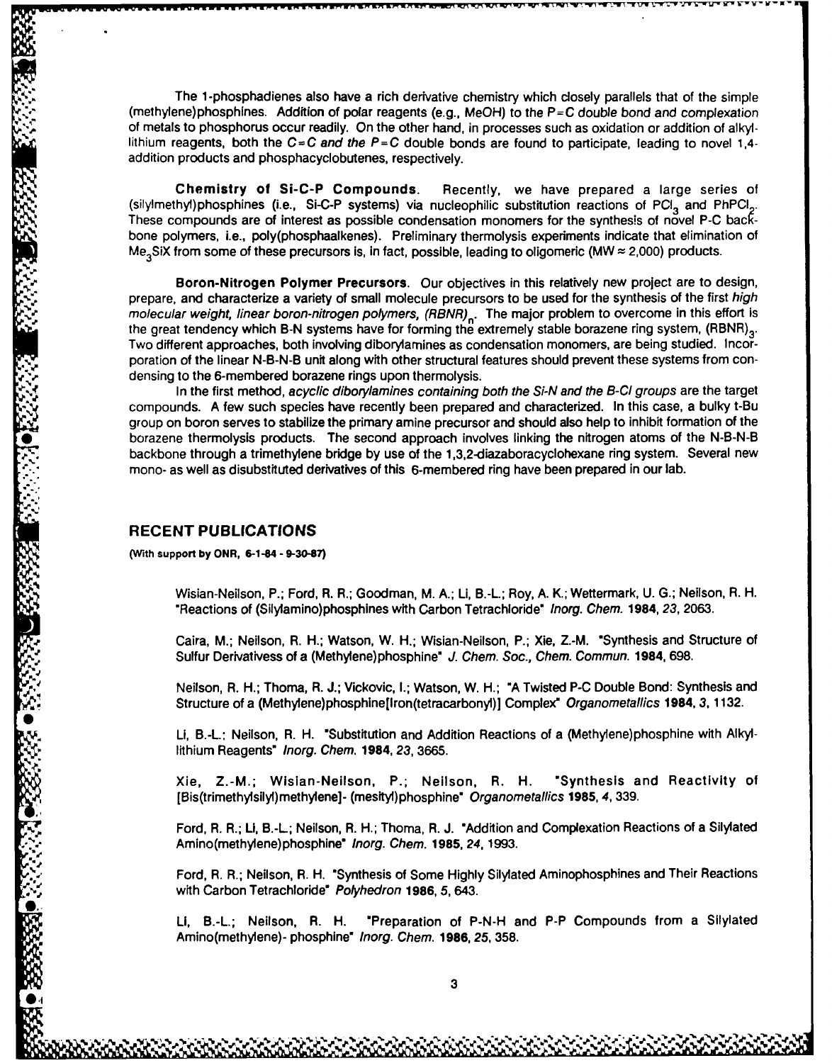The **1** -phosphadienes also have a rich derivative chemistry which closely parallels that of the simple (methylene)phosphines. Addition of polar reagents (e.g., MeOH) to the **P=C** double bond and complexation of metals to phosphorus occur readily. On the other hand, in processes such as oxidation or addition of alkyllithium reagents, both the **C=C** and the **P=C** double bonds are found to participate, leading to novel 1,4 addition products and phosphacyclobutenes, respectively.

Chemistry of Si-C-P Compounds. Recently, we have prepared a large series of (silylmethyl)phosphines (i.e., Si-C-P systems) via nucleophilic substitution reactions of PCI<sub>3</sub> and PhPCI<sub>2</sub>. These compounds are of interest as possible condensation monomers for the synthesis of novel **P-C back**bone polymers, i.e., poly(phosphaalkenes). Preliminary thermolysis experiments indicate that elimination of Me **3SiX** from some of these precursors is, in fact, possible, leading to oligomeric (MW **z** 2,000) products.

**"** Boron-Nitrogen Polymer Precursors. Our objectives in this relatively new project are to design, prepare, and characterize a variety of small molecule precursors to be used for the synthesis of the first high molecular weight, linear boron-nitrogen polymers,  $(RBNR)_{n}$ . The major problem to overcome in this effort is the great tendency which B-N systems have for forming the extremely stable borazene ring system, (RBNR)<sub>3</sub>. Two different approaches, both involving diborylamines as condensation monomers, are being studied. Incorporation of the linear **N-B-N-B** unit along with other structural features should prevent these systems from condensing to the 6-membered borazene rings upon thermolysis.

In the first method, acyclic diborylamines containing both the Si-N and the B-Cl groups are the target compounds. **A** few such species have recently been prepared and characterized. In this case, a bulky t-Bu group on boron serves to stabilize the primary amine precursor and should also help to inhibit formation of the \* borazene thermolysis products. The second approach involves linking the nitrogen atoms of the **N-B-N-B** backbone through a trimethylene bridge **by** use of the 1,3,2-diazaboracyclohexane ring system. Several new mono- as well as disubstituted derivatives of this 6-membered ring have been prepared in our lab.

#### **RECENT PUBLICATIONS**

**(With support by ONR, 6-1-84 - 9-30-87)**

Wisian-Neilson, P.; Ford, R. R.; Goodman, M. **A.;** Li, **B.-L;** Roy, **A.** K.; Wettermark, **U. G.;** Neilson, R. H. "Reactions of (Silylamino)phosphines with Carbon Tetrachloride" Inorg. Chem. **1984,** 23, **2063.**

Caira, M.; Neilson, R. H.; Watson, W. *H.;* Wisian-Neilson, P.; Xie, Z.-M. "Synthesis and Structure of Sulfur Derivativess of a (Methylene)phosphine" J. Chem. Soc., Chem. Commun. 1984, **698.**

Neilson, R. H.; Thoma, R. **J.;** Vickovic, **I.;** Watson, W. H.; **"A** Twisted **P-C** Double Bond: Synthesis and Structure of a (Methylene)phosphine[Iron(tetracarbonyl)] Complex" Organometallics 1984, 3, **1132.**

Li, B.-L.; Neilson, R. H. "Substitution and Addition Reactions of a (Methylene)phosphine with Alkyllithium Reagents" Inorg. Chem. 1984, **23, 3665.**

Xie, Z.-M.; Wislan-Neilson, P.; Neilson, R. H. "Synthesis and Reactivity of [Bis(trimethylsilyl)methylene]- (mestyl)phosphine" Organometallics **1985,** 4, **339.**

Ford, R. R.; Li, B.-L; Neilson, R. H.; Thoma, R. **J.** "Addition and Complexation Reactions of a Silylated Amino(methylene)phosphine" Inorg. Chem. **1985,** 24,1993.

Ford, R. R.; Neilson, R. H. "Synthesis **of** Some **Highly** Silylated Aminophosphines and Their Reactions with Carbon Tetrachloride" Polyhedron **1986, 5,** 643.

**LI, B.-L.;** Neilson, R. H. "Preparation of **P-N-H** and P-P Compounds from a Silylated Amino(methylene)- phosphine" Inorg. Chem. **1986, 25, 358.**